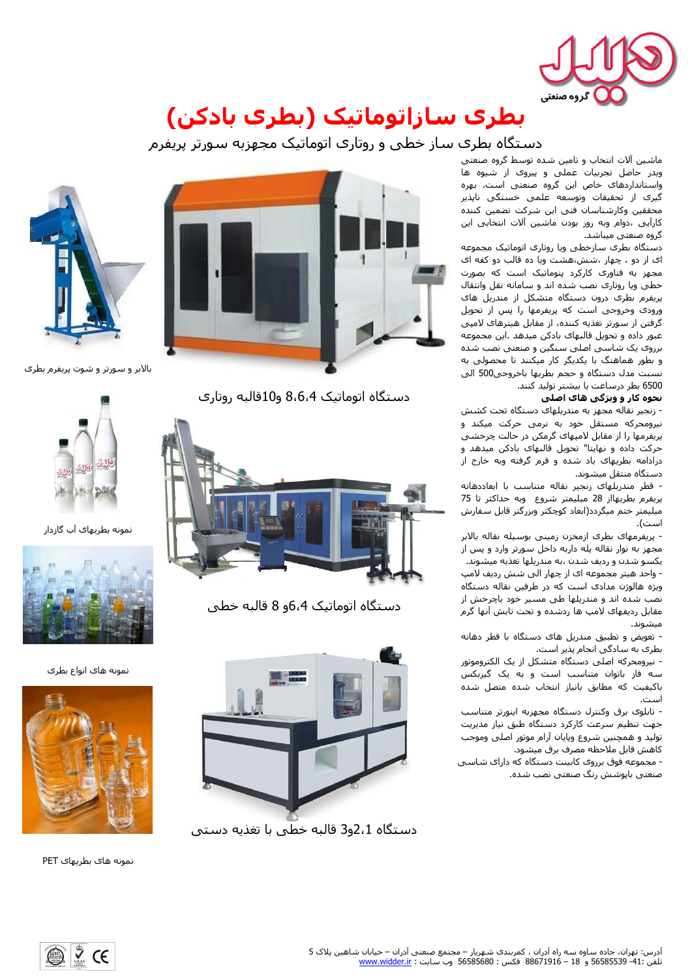

# **بطری سازاتوماتیک )بطری بادکن(**

دستگاه بطری ساز خطی و روتاری اتوماتیک مجهزبه سورتر پریفرم

ماشین آلات انتخاب و تامین شده توسط گروه صنعتی ویدر حاصل تجربیات عملی و پیروک از شـیوه ها واستانداردهای خاص این گروه صنعتی است. بهره گیری از تحقیقات وتوسعه علمی خستگی ناپذیر محققین وکارشناسان فنی این شرکت تضمین کننده کارآیی ،دوام وبه روز بودن ماشین آلات انتخابی این گروه صنعتی میباشد.

دستگاه بطری سازخطی ویا روتاری اتوماتیک مجموعه ای از دو ، چهار ،شـش،هشت ویا ده قالب دو کفه ای مجهِز به فناورک کارکرد پنوماتیک است که بصورت خطی ویا روتاری نصب شده اند و سامانه نقل وانتقال پریفرم بطری درون دستگاه متشکل از مندریل های ورودی وخروجی است که پریفرمها را پس از تحویل گرفتن از سورتر تغذیه کننده، از مقابل هیترهای لامپی عبور داده و تحویل قالبهای بادکن میدهد .این مجموعه برروک یک شاسـی اصلـی سـنگین و صنعتی نصب شـده و بطور هماهنگ با یکدیگر کار میکنند تا محصولی به نسبت مدل دستگاه و حجم بطریها باخروجی500 الی 6500 بطر درساعت یا بیشتر تولید کنند.

#### **نحوه کار و ویژگی های اصلی**

- زنجیر نقاله مجهز به مندریلهای دستگاه تحت کشش نیزومحرکه مستقل خود به نرمی حرکت میکند و پریفرمها را از مقابل لامپهای گرمکن در حالت چرخشی حرکت داده و نهایتا" تحویل قالبهای بادکن میدهد و درادامه بطریهای باد شده و فرم گرفته وبه خارج از دستگاه منتقل میشوند.

- قطر مندریلهای زنجیر نقاله متناسب با ابعاددهانه پریفرم بطریِهااز 28 میلیمتر شـروع ٍ وبه حداکثر تا 75 میلیمتر ختم میگردد(ابعاد کوچکتر وبزرگتر قابل سفارش است).

- پریفرمهای بطری ازمخزن زمینی بوسیله نقاله بالابر مجهز به نوار نقاله پله داربه داخل سورتر وارد و پس از یکسو شدن و ردیف شدن ،به مندریلها تغذیه میشوند. - واحد هیتر مجموعه ای از چِهار الی شـش ردیف لامپ ویژه هالوژن مدادی است که در طرفین نقاله دستگاه نصب شده اند و مندریلها طی مسیر خود باچرخش از مقابل ردیفهای لامپ ها ردشده و تحت تابش آنها گرم میشوند.

- تعویض و تطبیق مندریل های دستگاه با قطر دهانه بطری به سادگی انجام پذیر است.

- نیزومحرکه اصلی دستگاه متشکل از یک الکتروموتور سه فاز باتوان متناسب است و به یک گیربکس باکیفیت که مطابق بانیاز انتخاب شده متصل شده است.

- تابلوک برق وکنترل دستگاه مجهزبه اینورتر متناسب جهت تنظیم سرعت کارکرد دستگاه طبق نیاز مدیریت تولید و همچنین شروع وپایان آرام موتور اصلی وموجہ کاهش قابل ملاحظه مصرف برق میشود. - مجموعه فوق برروک کابینت دستگاه که دارای شاسـی صنعتی باپوشـش رنگ صنعتی نصب شـده.



دستگاه اتوماتیک 8،6،4 و10قالبه روتاری



دستگاه اتوماتیک 6،4و 8 قالبه خطی





بالابر و سورتر و شوت پریفرم بطری



نمونه بطریهای آب گازدار



نمونه های انواع بطری



دستگاه 2،1و3 قالبه خطی با تغذیه دستی

ًوًَْ ُای تطزیِای PET

آدرس: تهِران، جاده سـاوه سـه راه آدران ، کمربندی شـهریار – مجتمع صنعتی آدران – خیابان شـاهین پلاک 5 <u>تلفن :41- 56585539 و 18 – 88671916 فکس : 56585680</u> وب سایت : <u>www.widder.ir</u>

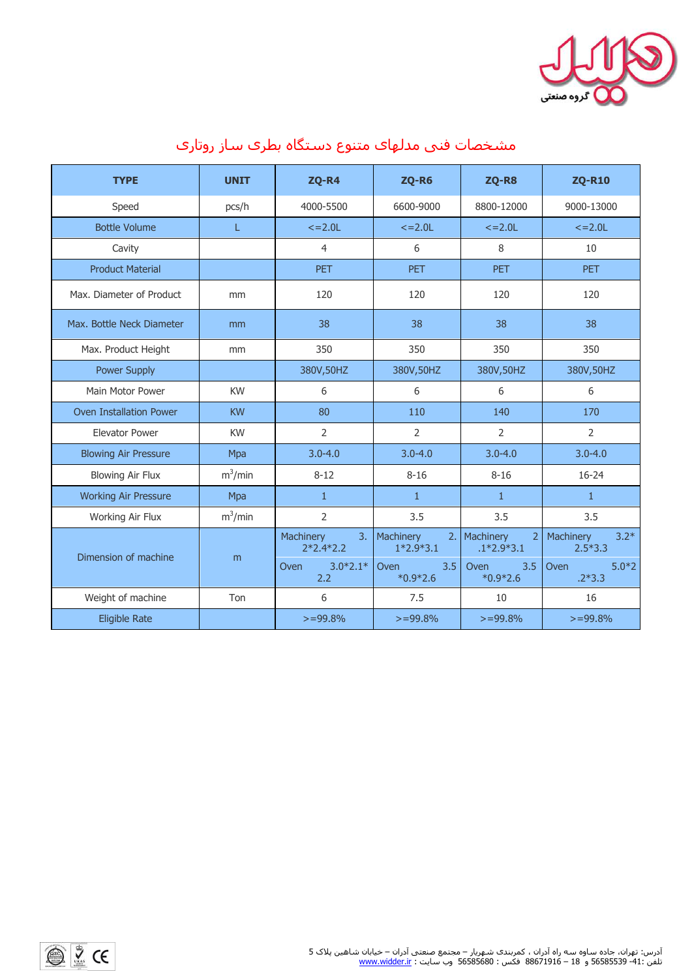





| <b>TYPE</b>                    | <b>UNIT</b> | ZQ-R4                          | ZQ-R6                           | <b>ZQ-R8</b>                   | <b>ZQ-R10</b>                    |
|--------------------------------|-------------|--------------------------------|---------------------------------|--------------------------------|----------------------------------|
| Speed                          | pcs/h       | 4000-5500                      | 6600-9000                       | 8800-12000                     | 9000-13000                       |
| <b>Bottle Volume</b>           |             | $\leq$ = 2.0L                  | $\leq$ = 2.0L                   | $\leq$ = 2.0L                  | $\leq$ = 2.0L                    |
| Cavity                         |             | 4                              | 6                               | 8                              | 10                               |
| <b>Product Material</b>        |             | <b>PET</b>                     | <b>PET</b>                      | <b>PET</b>                     | <b>PET</b>                       |
| Max. Diameter of Product       | mm          | 120                            | 120                             | 120                            | 120                              |
| Max. Bottle Neck Diameter      | mm          | 38                             | 38                              | 38                             | 38                               |
| Max. Product Height            | mm          | 350                            | 350                             | 350                            | 350                              |
| <b>Power Supply</b>            |             | 380V,50HZ                      | 380V,50HZ                       | 380V,50HZ                      | 380V,50HZ                        |
| Main Motor Power               | <b>KW</b>   | 6                              | 6                               | 6                              | 6                                |
| <b>Oven Installation Power</b> | <b>KW</b>   | 80                             | 110                             | 140                            | 170                              |
| <b>Elevator Power</b>          | <b>KW</b>   | $\overline{2}$                 | $\overline{2}$                  | $\overline{2}$                 | $\overline{2}$                   |
| <b>Blowing Air Pressure</b>    | Mpa         | $3.0 - 4.0$                    | $3.0 - 4.0$                     | $3.0 - 4.0$                    | $3.0 - 4.0$                      |
| <b>Blowing Air Flux</b>        | $m^3/m$ in  | $8 - 12$                       | $8 - 16$                        | $8 - 16$                       | $16 - 24$                        |
| <b>Working Air Pressure</b>    | Mpa         | $\mathbf{1}$                   | $\mathbf{1}$                    | 1                              | $\mathbf{1}$                     |
| Working Air Flux               | $m^3/m$ in  | $\overline{2}$                 | 3.5                             | 3.5                            | 3.5                              |
| Dimension of machine           | m           | 3.<br>Machinery<br>$2*2.4*2.2$ | Machinery<br>2.1<br>$1*2.9*3.1$ | Machinery<br>2<br>$.1*2.9*3.1$ | $3.2*$<br>Machinery<br>$2.5*3.3$ |
|                                |             | $3.0*2.1*$<br>Oven<br>2.2      | 3.5<br>Oven<br>$*0.9*2.6$       | Oven<br>3.5<br>$*0.9*2.6$      | $5.0*2$<br>Oven<br>$.2*3.3$      |
| Weight of machine              | Ton         | 6                              | 7.5                             | 10                             | 16                               |
| <b>Eligible Rate</b>           |             | $>=$ 99.8%                     | $>=$ 99.8%                      | $>=$ 99.8%                     | $>=$ 99.8%                       |

#### مشخصات فنی مدلهای متنوع دستگاه بطری ساز روتاری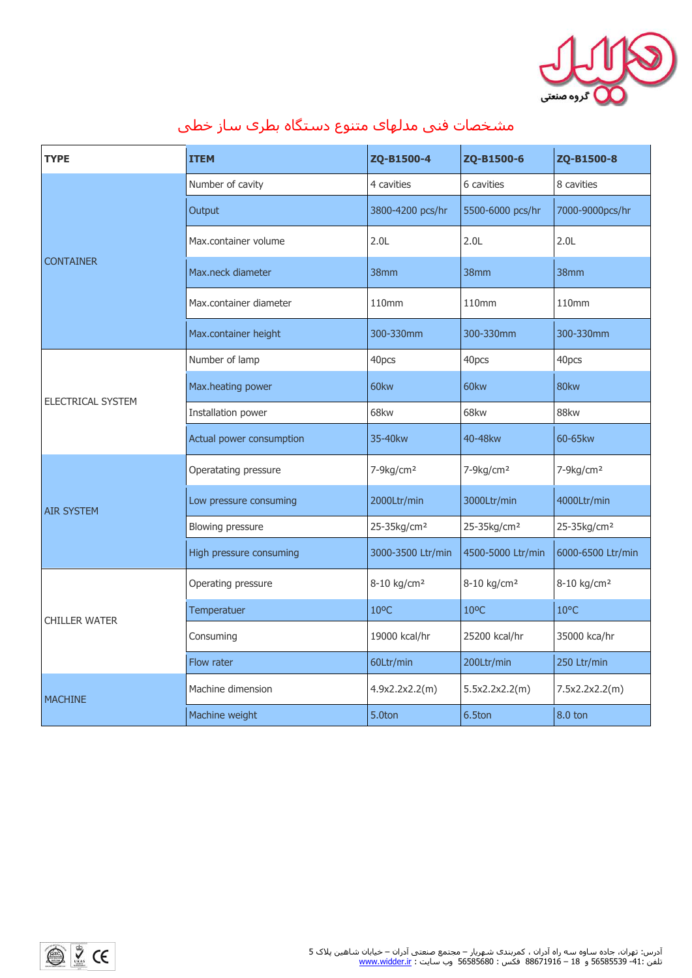

## مشخصات فنی مدلهای متنوع دستگاه بطری ساز خطی





| <b>TYPE</b>              | <b>ITEM</b>              | ZQ-B1500-4              | ZQ-B1500-6              | ZQ-B1500-8              |
|--------------------------|--------------------------|-------------------------|-------------------------|-------------------------|
| <b>CONTAINER</b>         | Number of cavity         | 4 cavities              | 6 cavities              | 8 cavities              |
|                          | Output                   | 3800-4200 pcs/hr        | 5500-6000 pcs/hr        | 7000-9000pcs/hr         |
|                          | Max.container volume     | 2.0 <sub>L</sub>        | 2.0 <sub>L</sub>        | 2.0L                    |
|                          | Max.neck diameter        | 38mm                    | 38mm                    | 38mm                    |
|                          | Max.container diameter   | 110mm                   | 110mm                   | 110mm                   |
|                          | Max.container height     | 300-330mm               | 300-330mm               | 300-330mm               |
| <b>ELECTRICAL SYSTEM</b> | Number of lamp           | 40pcs                   | 40pcs                   | 40pcs                   |
|                          | Max.heating power        | 60kw                    | 60kw                    | 80kw                    |
|                          | Installation power       | 68kw                    | 68kw                    | 88kw                    |
|                          | Actual power consumption | 35-40 <sub>kw</sub>     | 40-48kw                 | 60-65kw                 |
| <b>AIR SYSTEM</b>        | Operatating pressure     | $7-9kg/cm2$             | $7-9kg/cm2$             | $7-9kg/cm2$             |
|                          | Low pressure consuming   | 2000Ltr/min             | 3000Ltr/min             | 4000Ltr/min             |
|                          | <b>Blowing pressure</b>  | 25-35kg/cm <sup>2</sup> | 25-35kg/cm <sup>2</sup> | 25-35kg/cm <sup>2</sup> |
|                          | High pressure consuming  | 3000-3500 Ltr/min       | 4500-5000 Ltr/min       | 6000-6500 Ltr/min       |
| <b>CHILLER WATER</b>     | Operating pressure       | 8-10 kg/cm <sup>2</sup> | 8-10 kg/cm <sup>2</sup> | 8-10 kg/cm <sup>2</sup> |
|                          | <b>Temperatuer</b>       | 10°C                    | 10 <sup>o</sup> C       | $10^{\circ}$ C          |
|                          | Consuming                | 19000 kcal/hr           | 25200 kcal/hr           | 35000 kca/hr            |
|                          | Flow rater               | 60Ltr/min               | 200Ltr/min              | 250 Ltr/min             |
| <b>MACHINE</b>           | Machine dimension        | 4.9x2.2x2.2(m)          | 5.5x2.2x2.2(m)          | 7.5x2.2x2.2(m)          |
|                          | Machine weight           | 5.0ton                  | 6.5ton                  | 8.0 ton                 |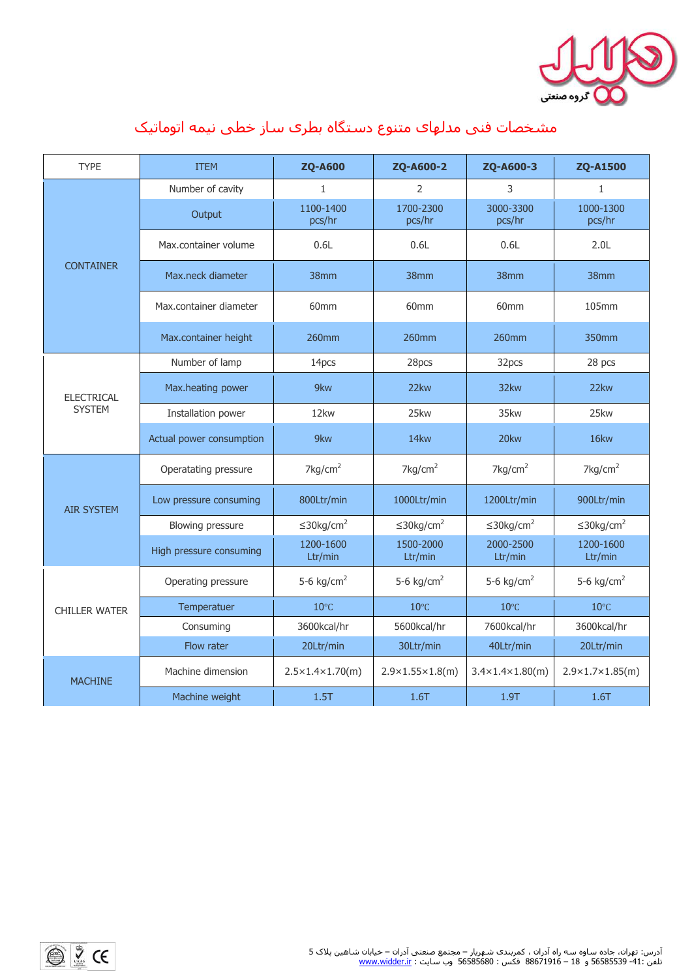

#### مشخصات فنی مدلهای متنوع دستگاه بطری ساز خطی نیمه اتوماتیک





| <b>TYPE</b>                        | <b>ITEM</b>              | <b>ZQ-A600</b>                  | ZQ-A600-2                        | ZQ-A600-3                       | <b>ZQ-A1500</b>                  |
|------------------------------------|--------------------------|---------------------------------|----------------------------------|---------------------------------|----------------------------------|
| <b>CONTAINER</b>                   | Number of cavity         | $\mathbf{1}$                    | $\overline{2}$                   | 3                               | $\mathbf{1}$                     |
|                                    | Output                   | 1100-1400<br>pcs/hr             | 1700-2300<br>pcs/hr              | 3000-3300<br>pcs/hr             | 1000-1300<br>pcs/hr              |
|                                    | Max.container volume     | 0.6L                            | 0.6L                             | 0.6L                            | 2.0 <sub>L</sub>                 |
|                                    | Max.neck diameter        | 38mm                            | 38mm                             | 38mm                            | <b>38mm</b>                      |
|                                    | Max.container diameter   | 60 <sub>mm</sub>                | 60mm                             | 60 <sub>mm</sub>                | 105mm                            |
|                                    | Max.container height     | <b>260mm</b>                    | 260mm                            | <b>260mm</b>                    | 350mm                            |
| <b>ELECTRICAL</b><br><b>SYSTEM</b> | Number of lamp           | 14pcs                           | 28pcs                            | 32pcs                           | 28 pcs                           |
|                                    | Max.heating power        | 9kw                             | 22kw                             | 32kw                            | 22kw                             |
|                                    | Installation power       | 12kw                            | 25kw                             | 35kw                            | 25kw                             |
|                                    | Actual power consumption | 9kw                             | 14kw                             | 20kw                            | 16kw                             |
| <b>AIR SYSTEM</b>                  | Operatating pressure     | $7 \text{kg/cm}^2$              | $7 \text{kg/cm}^2$               | 7 $kg/cm2$                      | $7 \text{kg/cm}^2$               |
|                                    | Low pressure consuming   | 800Ltr/min                      | 1000Ltr/min                      | 1200Ltr/min                     | 900Ltr/min                       |
|                                    | <b>Blowing pressure</b>  | $\leq$ 30kg/cm <sup>2</sup>     | $\leq$ 30kg/cm <sup>2</sup>      | $\leq$ 30kg/cm <sup>2</sup>     | $\leq$ 30kg/cm <sup>2</sup>      |
|                                    | High pressure consuming  | 1200-1600<br>Ltr/min            | 1500-2000<br>Ltr/min             | 2000-2500<br>Ltr/min            | 1200-1600<br>Ltr/min             |
| <b>CHILLER WATER</b>               | Operating pressure       | 5-6 $kg/cm2$                    | 5-6 $kg/cm2$                     | 5-6 kg/cm <sup>2</sup>          | 5-6 kg/cm <sup>2</sup>           |
|                                    | Temperatuer              | $10^{\circ}$ C                  | $10^{\circ}$ C                   | $10^{\circ}$ C                  | $10^{\circ}$ C                   |
|                                    | Consuming                | 3600kcal/hr                     | 5600kcal/hr                      | 7600kcal/hr                     | 3600kcal/hr                      |
|                                    | Flow rater               | 20Ltr/min                       | 30Ltr/min                        | 40Ltr/min                       | 20Ltr/min                        |
| <b>MACHINE</b>                     | Machine dimension        | $2.5 \times 1.4 \times 1.70(m)$ | $2.9 \times 1.55 \times 1.8$ (m) | $3.4 \times 1.4 \times 1.80(m)$ | $2.9 \times 1.7 \times 1.85$ (m) |
|                                    | Machine weight           | 1.5T                            | 1.6T                             | 1.9T                            | 1.6T                             |